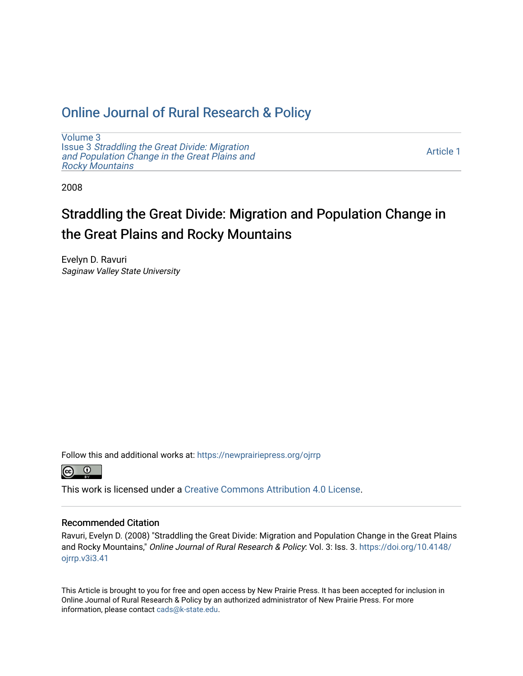## [Online Journal of Rural Research & Policy](https://newprairiepress.org/ojrrp)

[Volume 3](https://newprairiepress.org/ojrrp/vol3) Issue 3 [Straddling the Great Divide: Migration](https://newprairiepress.org/ojrrp/vol3/iss3) [and Population Change in the Great Plains and](https://newprairiepress.org/ojrrp/vol3/iss3) [Rocky Mountains](https://newprairiepress.org/ojrrp/vol3/iss3)

[Article 1](https://newprairiepress.org/ojrrp/vol3/iss3/1) 

2008

# Straddling the Great Divide: Migration and Population Change in the Great Plains and Rocky Mountains

Evelyn D. Ravuri Saginaw Valley State University

Follow this and additional works at: [https://newprairiepress.org/ojrrp](https://newprairiepress.org/ojrrp?utm_source=newprairiepress.org%2Fojrrp%2Fvol3%2Fiss3%2F1&utm_medium=PDF&utm_campaign=PDFCoverPages) 



This work is licensed under a [Creative Commons Attribution 4.0 License](https://creativecommons.org/licenses/by/4.0/).

#### Recommended Citation

Ravuri, Evelyn D. (2008) "Straddling the Great Divide: Migration and Population Change in the Great Plains and Rocky Mountains," Online Journal of Rural Research & Policy: Vol. 3: Iss. 3. [https://doi.org/10.4148/](https://doi.org/10.4148/ojrrp.v3i3.41) [ojrrp.v3i3.41](https://doi.org/10.4148/ojrrp.v3i3.41)

This Article is brought to you for free and open access by New Prairie Press. It has been accepted for inclusion in Online Journal of Rural Research & Policy by an authorized administrator of New Prairie Press. For more information, please contact [cads@k-state.edu](mailto:cads@k-state.edu).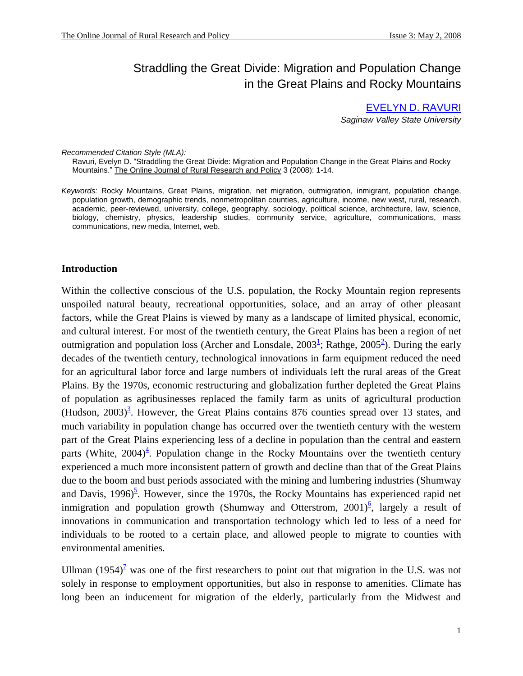## Straddling the Great Divide: Migration and Population Change in the Great Plains and Rocky Mountains

EVELYN D. RAVURI *Saginaw Valley State University*

*Recommended Citation Style (MLA):*

 Ravuri, Evelyn D. "Straddling the Great Divide: Migration and Population Change in the Great Plains and Rocky Mountains." The Online Journal of Rural Research and Policy 3 (2008): 1-14.

*Keywords:* Rocky Mountains, Great Plains, migration, net migration, outmigration, inmigrant, population change, population growth, demographic trends, nonmetropolitan counties, agriculture, income, new west, rural, research, academic, peer-reviewed, university, college, geography, sociology, political science, architecture, law, science, biology, chemistry, physics, leadership studies, community service, agriculture, communications, mass communications, new media, Internet, web.

#### **Introduction**

Within the collective conscious of the U.S. population, the Rocky Mountain region represents unspoiled natural beauty, recreational opportunities, solace, and an array of other pleasant factors, while the Great Plains is viewed by many as a landscape of limited physical, economic, and cultural interest. For most of the twentieth century, the Great Plains has been a region of net outmigration and population loss (Archer and Lonsdale,  $2003^{\frac{1}{2}}$ ; Rathge,  $2005^{\frac{2}{2}}$ ). During the early decades of the twentieth century, technological innovations in farm equipment reduced the need for an agricultural labor force and large numbers of individuals left the rural areas of the Great Plains. By the 1970s, economic restructuring and globalization further depleted the Great Plains of population as agribusinesses replaced the family farm as units of agricultural production (Hudson,  $2003$ )<sup>3</sup>. However, the Great Plains contains 876 counties spread over 13 states, and much variability in population change has occurred over the twentieth century with the western part of the Great Plains experiencing less of a decline in population than the central and eastern parts (White,  $2004)^4$ . Population change in the Rocky Mountains over the twentieth century experienced a much more inconsistent pattern of growth and decline than that of the Great Plains due to the boom and bust periods associated with the mining and lumbering industries (Shumway and Davis, 1996)<sup>5</sup>. However, since the 1970s, the Rocky Mountains has experienced rapid net inmigration and population growth (Shumway and Otterstrom,  $2001$ <sup>6</sup>, largely a result of innovations in communication and transportation technology which led to less of a need for individuals to be rooted to a certain place, and allowed people to migrate to counties with environmental amenities.

Ullman  $(1954)^2$  was one of the first researchers to point out that migration in the U.S. was not solely in response to employment opportunities, but also in response to amenities. Climate has long been an inducement for migration of the elderly, particularly from the Midwest and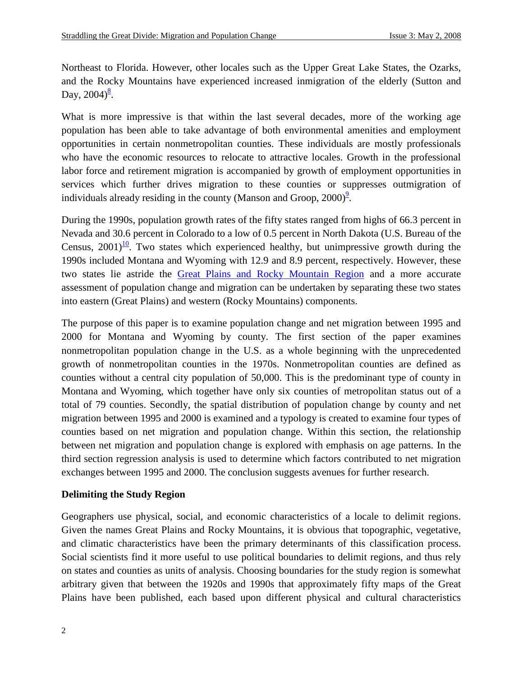Northeast to Florida. However, other locales such as the Upper Great Lake States, the Ozarks, and the Rocky Mountains have experienced increased inmigration of the elderly (Sutton and Day,  $2004)^{\frac{8}{5}}$ .

What is more impressive is that within the last several decades, more of the working age population has been able to take advantage of both environmental amenities and employment opportunities in certain nonmetropolitan counties. These individuals are mostly professionals who have the economic resources to relocate to attractive locales. Growth in the professional labor force and retirement migration is accompanied by growth of employment opportunities in services which further drives migration to these counties or suppresses outmigration of individuals already residing in the county (Manson and Groop,  $2000$ )<sup>2</sup>.

During the 1990s, population growth rates of the fifty states ranged from highs of 66.3 percent in Nevada and 30.6 percent in Colorado to a low of 0.5 percent in North Dakota (U.S. Bureau of the Census,  $2001$ <sup> $10$ </sup>. Two states which experienced healthy, but unimpressive growth during the 1990s included Montana and Wyoming with 12.9 and 8.9 percent, respectively. However, these two states lie astride the [Great Plains and Rocky Mountain Region](http://energy.cr.usgs.gov/regional_studies/rocky/) and a more accurate assessment of population change and migration can be undertaken by separating these two states into eastern (Great Plains) and western (Rocky Mountains) components.

The purpose of this paper is to examine population change and net migration between 1995 and 2000 for Montana and Wyoming by county. The first section of the paper examines nonmetropolitan population change in the U.S. as a whole beginning with the unprecedented growth of nonmetropolitan counties in the 1970s. Nonmetropolitan counties are defined as counties without a central city population of 50,000. This is the predominant type of county in Montana and Wyoming, which together have only six counties of metropolitan status out of a total of 79 counties. Secondly, the spatial distribution of population change by county and net migration between 1995 and 2000 is examined and a typology is created to examine four types of counties based on net migration and population change. Within this section, the relationship between net migration and population change is explored with emphasis on age patterns. In the third section regression analysis is used to determine which factors contributed to net migration exchanges between 1995 and 2000. The conclusion suggests avenues for further research.

#### **Delimiting the Study Region**

Geographers use physical, social, and economic characteristics of a locale to delimit regions. Given the names Great Plains and Rocky Mountains, it is obvious that topographic, vegetative, and climatic characteristics have been the primary determinants of this classification process. Social scientists find it more useful to use political boundaries to delimit regions, and thus rely on states and counties as units of analysis. Choosing boundaries for the study region is somewhat arbitrary given that between the 1920s and 1990s that approximately fifty maps of the Great Plains have been published, each based upon different physical and cultural characteristics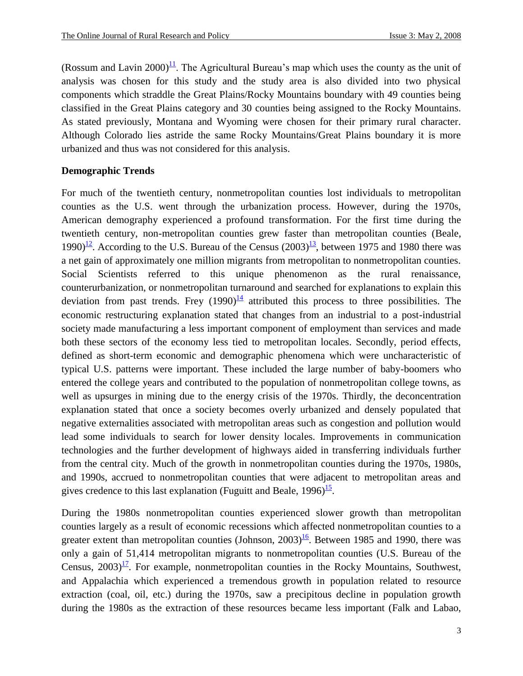(Rossum and Lavin 2000)<sup> $\frac{11}{1}$ </sup>. The Agricultural Bureau's map which uses the county as the unit of analysis was chosen for this study and the study area is also divided into two physical components which straddle the Great Plains/Rocky Mountains boundary with 49 counties being classified in the Great Plains category and 30 counties being assigned to the Rocky Mountains. As stated previously, Montana and Wyoming were chosen for their primary rural character. Although Colorado lies astride the same Rocky Mountains/Great Plains boundary it is more urbanized and thus was not considered for this analysis.

#### **Demographic Trends**

For much of the twentieth century, nonmetropolitan counties lost individuals to metropolitan counties as the U.S. went through the urbanization process. However, during the 1970s, American demography experienced a profound transformation. For the first time during the twentieth century, non-metropolitan counties grew faster than metropolitan counties (Beale, 1990)<sup> $12$ </sup>. According to the U.S. Bureau of the Census (2003)<sup> $13$ </sup>, between 1975 and 1980 there was a net gain of approximately one million migrants from metropolitan to nonmetropolitan counties. Social Scientists referred to this unique phenomenon as the rural renaissance, counterurbanization, or nonmetropolitan turnaround and searched for explanations to explain this deviation from past trends. Frey  $(1990)^{\frac{14}{4}}$  attributed this process to three possibilities. The economic restructuring explanation stated that changes from an industrial to a post-industrial society made manufacturing a less important component of employment than services and made both these sectors of the economy less tied to metropolitan locales. Secondly, period effects, defined as short-term economic and demographic phenomena which were uncharacteristic of typical U.S. patterns were important. These included the large number of baby-boomers who entered the college years and contributed to the population of nonmetropolitan college towns, as well as upsurges in mining due to the energy crisis of the 1970s. Thirdly, the deconcentration explanation stated that once a society becomes overly urbanized and densely populated that negative externalities associated with metropolitan areas such as congestion and pollution would lead some individuals to search for lower density locales. Improvements in communication technologies and the further development of highways aided in transferring individuals further from the central city. Much of the growth in nonmetropolitan counties during the 1970s, 1980s, and 1990s, accrued to nonmetropolitan counties that were adjacent to metropolitan areas and gives credence to this last explanation (Fuguitt and Beale,  $1996)$ <sup>15</sup>.

During the 1980s nonmetropolitan counties experienced slower growth than metropolitan counties largely as a result of economic recessions which affected nonmetropolitan counties to a greater extent than metropolitan counties (Johnson,  $2003$ )<sup>16</sup>. Between 1985 and 1990, there was only a gain of 51,414 metropolitan migrants to nonmetropolitan counties (U.S. Bureau of the Census,  $2003$ <sup> $17$ </sup>. For example, nonmetropolitan counties in the Rocky Mountains, Southwest, and Appalachia which experienced a tremendous growth in population related to resource extraction (coal, oil, etc.) during the 1970s, saw a precipitous decline in population growth during the 1980s as the extraction of these resources became less important (Falk and Labao,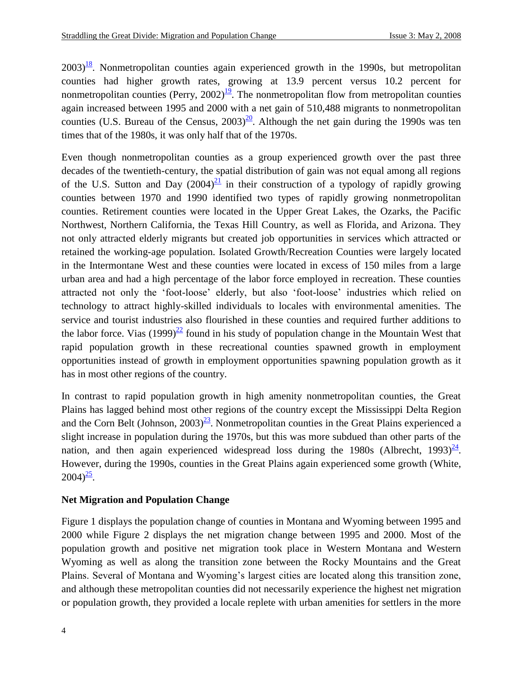$2003$ <sup>18</sup>. Nonmetropolitan counties again experienced growth in the 1990s, but metropolitan counties had higher growth rates, growing at 13.9 percent versus 10.2 percent for nonmetropolitan counties (Perry,  $2002$ )<sup>19</sup>. The nonmetropolitan flow from metropolitan counties again increased between 1995 and 2000 with a net gain of 510,488 migrants to nonmetropolitan counties (U.S. Bureau of the Census,  $2003)^{\underline{20}}$ . Although the net gain during the 1990s was ten times that of the 1980s, it was only half that of the 1970s.

Even though nonmetropolitan counties as a group experienced growth over the past three decades of the twentieth-century, the spatial distribution of gain was not equal among all regions of the U.S. Sutton and Day  $(2004)^{21}$  in their construction of a typology of rapidly growing counties between 1970 and 1990 identified two types of rapidly growing nonmetropolitan counties. Retirement counties were located in the Upper Great Lakes, the Ozarks, the Pacific Northwest, Northern California, the Texas Hill Country, as well as Florida, and Arizona. They not only attracted elderly migrants but created job opportunities in services which attracted or retained the working-age population. Isolated Growth/Recreation Counties were largely located in the Intermontane West and these counties were located in excess of 150 miles from a large urban area and had a high percentage of the labor force employed in recreation. These counties attracted not only the 'foot-loose' elderly, but also 'foot-loose' industries which relied on technology to attract highly-skilled individuals to locales with environmental amenities. The service and tourist industries also flourished in these counties and required further additions to the labor force. Vias  $(1999)^{22}$  found in his study of population change in the Mountain West that rapid population growth in these recreational counties spawned growth in employment opportunities instead of growth in employment opportunities spawning population growth as it has in most other regions of the country.

In contrast to rapid population growth in high amenity nonmetropolitan counties, the Great Plains has lagged behind most other regions of the country except the Mississippi Delta Region and the Corn Belt (Johnson,  $2003)^{23}$ . Nonmetropolitan counties in the Great Plains experienced a slight increase in population during the 1970s, but this was more subdued than other parts of the nation, and then again experienced widespread loss during the 1980s (Albrecht, 1993) $\frac{24}{ }$ . However, during the 1990s, counties in the Great Plains again experienced some growth (White,  $2004)^{\frac{25}{}}$ .

#### **Net Migration and Population Change**

Figure 1 displays the population change of counties in Montana and Wyoming between 1995 and 2000 while Figure 2 displays the net migration change between 1995 and 2000. Most of the population growth and positive net migration took place in Western Montana and Western Wyoming as well as along the transition zone between the Rocky Mountains and the Great Plains. Several of Montana and Wyoming's largest cities are located along this transition zone, and although these metropolitan counties did not necessarily experience the highest net migration or population growth, they provided a locale replete with urban amenities for settlers in the more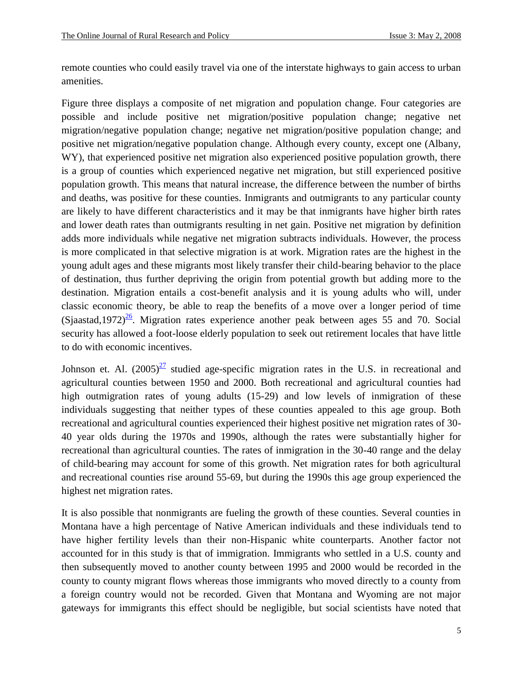remote counties who could easily travel via one of the interstate highways to gain access to urban amenities.

Figure three displays a composite of net migration and population change. Four categories are possible and include positive net migration/positive population change; negative net migration/negative population change; negative net migration/positive population change; and positive net migration/negative population change. Although every county, except one (Albany, WY), that experienced positive net migration also experienced positive population growth, there is a group of counties which experienced negative net migration, but still experienced positive population growth. This means that natural increase, the difference between the number of births and deaths, was positive for these counties. Inmigrants and outmigrants to any particular county are likely to have different characteristics and it may be that inmigrants have higher birth rates and lower death rates than outmigrants resulting in net gain. Positive net migration by definition adds more individuals while negative net migration subtracts individuals. However, the process is more complicated in that selective migration is at work. Migration rates are the highest in the young adult ages and these migrants most likely transfer their child-bearing behavior to the place of destination, thus further depriving the origin from potential growth but adding more to the destination. Migration entails a cost-benefit analysis and it is young adults who will, under classic economic theory, be able to reap the benefits of a move over a longer period of time (Sjaastad,1972) $\frac{26}{5}$ . Migration rates experience another peak between ages 55 and 70. Social security has allowed a foot-loose elderly population to seek out retirement locales that have little to do with economic incentives.

Johnson et. Al.  $(2005)^{27}$  studied age-specific migration rates in the U.S. in recreational and agricultural counties between 1950 and 2000. Both recreational and agricultural counties had high outmigration rates of young adults (15-29) and low levels of inmigration of these individuals suggesting that neither types of these counties appealed to this age group. Both recreational and agricultural counties experienced their highest positive net migration rates of 30- 40 year olds during the 1970s and 1990s, although the rates were substantially higher for recreational than agricultural counties. The rates of inmigration in the 30-40 range and the delay of child-bearing may account for some of this growth. Net migration rates for both agricultural and recreational counties rise around 55-69, but during the 1990s this age group experienced the highest net migration rates.

It is also possible that nonmigrants are fueling the growth of these counties. Several counties in Montana have a high percentage of Native American individuals and these individuals tend to have higher fertility levels than their non-Hispanic white counterparts. Another factor not accounted for in this study is that of immigration. Immigrants who settled in a U.S. county and then subsequently moved to another county between 1995 and 2000 would be recorded in the county to county migrant flows whereas those immigrants who moved directly to a county from a foreign country would not be recorded. Given that Montana and Wyoming are not major gateways for immigrants this effect should be negligible, but social scientists have noted that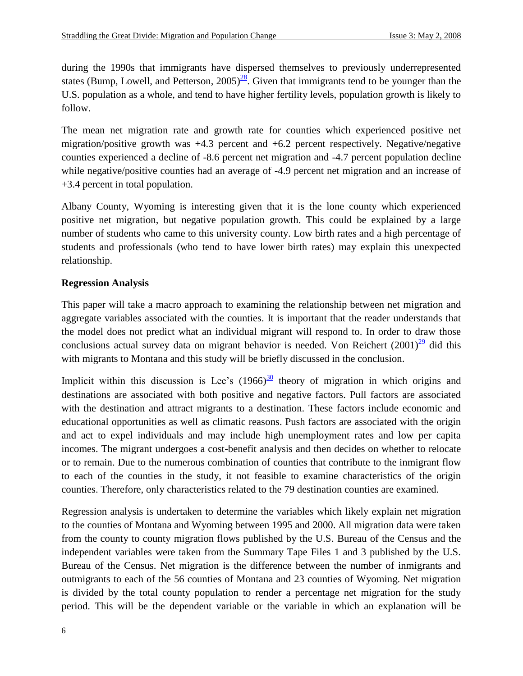during the 1990s that immigrants have dispersed themselves to previously underrepresented states (Bump, Lowell, and Petterson,  $2005)^{28}$ . Given that immigrants tend to be younger than the U.S. population as a whole, and tend to have higher fertility levels, population growth is likely to follow.

The mean net migration rate and growth rate for counties which experienced positive net migration/positive growth was  $+4.3$  percent and  $+6.2$  percent respectively. Negative/negative counties experienced a decline of -8.6 percent net migration and -4.7 percent population decline while negative/positive counties had an average of -4.9 percent net migration and an increase of +3.4 percent in total population.

Albany County, Wyoming is interesting given that it is the lone county which experienced positive net migration, but negative population growth. This could be explained by a large number of students who came to this university county. Low birth rates and a high percentage of students and professionals (who tend to have lower birth rates) may explain this unexpected relationship.

#### **Regression Analysis**

This paper will take a macro approach to examining the relationship between net migration and aggregate variables associated with the counties. It is important that the reader understands that the model does not predict what an individual migrant will respond to. In order to draw those conclusions actual survey data on migrant behavior is needed. Von Reichert  $(2001)^{\frac{29}{2}}$  did this with migrants to Montana and this study will be briefly discussed in the conclusion.

Implicit within this discussion is Lee's  $(1966)^{\frac{30}{}}$  theory of migration in which origins and destinations are associated with both positive and negative factors. Pull factors are associated with the destination and attract migrants to a destination. These factors include economic and educational opportunities as well as climatic reasons. Push factors are associated with the origin and act to expel individuals and may include high unemployment rates and low per capita incomes. The migrant undergoes a cost-benefit analysis and then decides on whether to relocate or to remain. Due to the numerous combination of counties that contribute to the inmigrant flow to each of the counties in the study, it not feasible to examine characteristics of the origin counties. Therefore, only characteristics related to the 79 destination counties are examined.

Regression analysis is undertaken to determine the variables which likely explain net migration to the counties of Montana and Wyoming between 1995 and 2000. All migration data were taken from the county to county migration flows published by the U.S. Bureau of the Census and the independent variables were taken from the Summary Tape Files 1 and 3 published by the U.S. Bureau of the Census. Net migration is the difference between the number of inmigrants and outmigrants to each of the 56 counties of Montana and 23 counties of Wyoming. Net migration is divided by the total county population to render a percentage net migration for the study period. This will be the dependent variable or the variable in which an explanation will be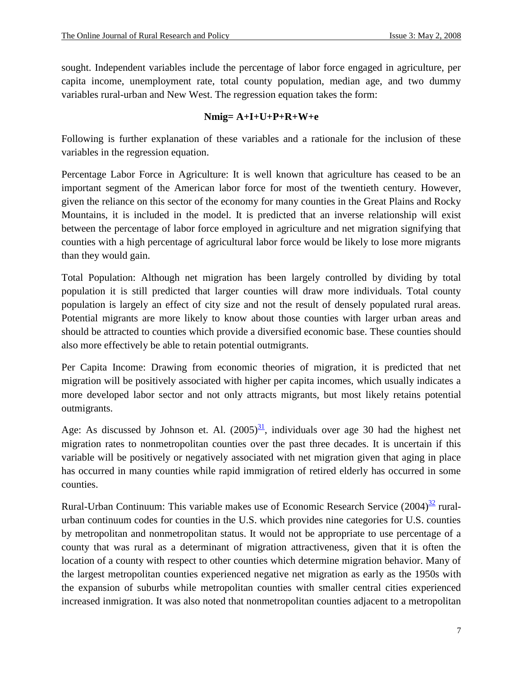sought. Independent variables include the percentage of labor force engaged in agriculture, per capita income, unemployment rate, total county population, median age, and two dummy variables rural-urban and New West. The regression equation takes the form:

#### **Nmig= A+I+U+P+R+W+e**

Following is further explanation of these variables and a rationale for the inclusion of these variables in the regression equation.

Percentage Labor Force in Agriculture: It is well known that agriculture has ceased to be an important segment of the American labor force for most of the twentieth century. However, given the reliance on this sector of the economy for many counties in the Great Plains and Rocky Mountains, it is included in the model. It is predicted that an inverse relationship will exist between the percentage of labor force employed in agriculture and net migration signifying that counties with a high percentage of agricultural labor force would be likely to lose more migrants than they would gain.

Total Population: Although net migration has been largely controlled by dividing by total population it is still predicted that larger counties will draw more individuals. Total county population is largely an effect of city size and not the result of densely populated rural areas. Potential migrants are more likely to know about those counties with larger urban areas and should be attracted to counties which provide a diversified economic base. These counties should also more effectively be able to retain potential outmigrants.

Per Capita Income: Drawing from economic theories of migration, it is predicted that net migration will be positively associated with higher per capita incomes, which usually indicates a more developed labor sector and not only attracts migrants, but most likely retains potential outmigrants.

Age: As discussed by Johnson et. Al.  $(2005)^{31}$ , individuals over age 30 had the highest net migration rates to nonmetropolitan counties over the past three decades. It is uncertain if this variable will be positively or negatively associated with net migration given that aging in place has occurred in many counties while rapid immigration of retired elderly has occurred in some counties.

Rural-Urban Continuum: This variable makes use of Economic Research Service (2004)<sup>32</sup> ruralurban continuum codes for counties in the U.S. which provides nine categories for U.S. counties by metropolitan and nonmetropolitan status. It would not be appropriate to use percentage of a county that was rural as a determinant of migration attractiveness, given that it is often the location of a county with respect to other counties which determine migration behavior. Many of the largest metropolitan counties experienced negative net migration as early as the 1950s with the expansion of suburbs while metropolitan counties with smaller central cities experienced increased inmigration. It was also noted that nonmetropolitan counties adjacent to a metropolitan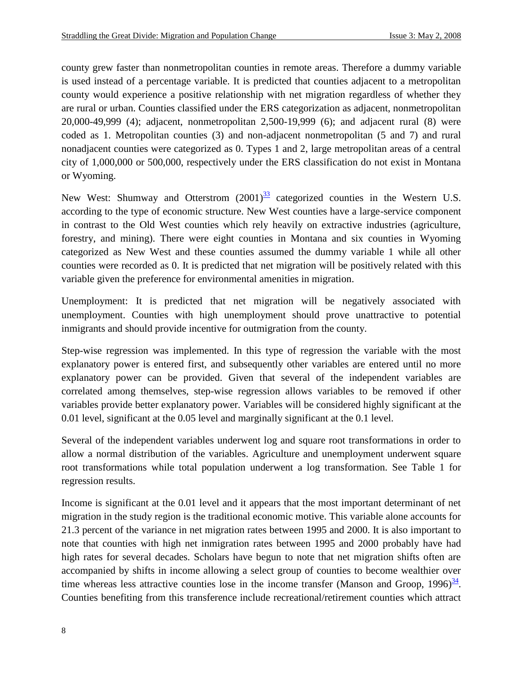county grew faster than nonmetropolitan counties in remote areas. Therefore a dummy variable is used instead of a percentage variable. It is predicted that counties adjacent to a metropolitan county would experience a positive relationship with net migration regardless of whether they are rural or urban. Counties classified under the ERS categorization as adjacent, nonmetropolitan 20,000-49,999 (4); adjacent, nonmetropolitan 2,500-19,999 (6); and adjacent rural (8) were coded as 1. Metropolitan counties (3) and non-adjacent nonmetropolitan (5 and 7) and rural nonadjacent counties were categorized as 0. Types 1 and 2, large metropolitan areas of a central city of 1,000,000 or 500,000, respectively under the ERS classification do not exist in Montana or Wyoming.

New West: Shumway and Otterstrom  $(2001)^{33}$  categorized counties in the Western U.S. according to the type of economic structure. New West counties have a large-service component in contrast to the Old West counties which rely heavily on extractive industries (agriculture, forestry, and mining). There were eight counties in Montana and six counties in Wyoming categorized as New West and these counties assumed the dummy variable 1 while all other counties were recorded as 0. It is predicted that net migration will be positively related with this variable given the preference for environmental amenities in migration.

Unemployment: It is predicted that net migration will be negatively associated with unemployment. Counties with high unemployment should prove unattractive to potential inmigrants and should provide incentive for outmigration from the county.

Step-wise regression was implemented. In this type of regression the variable with the most explanatory power is entered first, and subsequently other variables are entered until no more explanatory power can be provided. Given that several of the independent variables are correlated among themselves, step-wise regression allows variables to be removed if other variables provide better explanatory power. Variables will be considered highly significant at the 0.01 level, significant at the 0.05 level and marginally significant at the 0.1 level.

Several of the independent variables underwent log and square root transformations in order to allow a normal distribution of the variables. Agriculture and unemployment underwent square root transformations while total population underwent a log transformation. See Table 1 for regression results.

Income is significant at the 0.01 level and it appears that the most important determinant of net migration in the study region is the traditional economic motive. This variable alone accounts for 21.3 percent of the variance in net migration rates between 1995 and 2000. It is also important to note that counties with high net inmigration rates between 1995 and 2000 probably have had high rates for several decades. Scholars have begun to note that net migration shifts often are accompanied by shifts in income allowing a select group of counties to become wealthier over time whereas less attractive counties lose in the income transfer (Manson and Groop,  $1996)^{\frac{34}{2}}$ . Counties benefiting from this transference include recreational/retirement counties which attract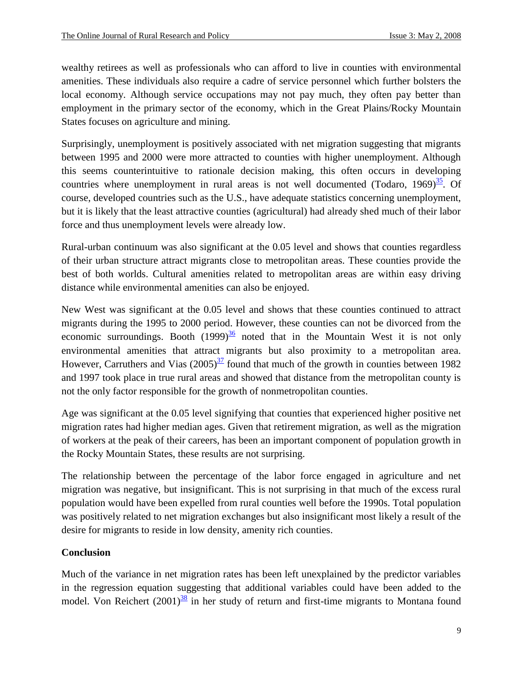wealthy retirees as well as professionals who can afford to live in counties with environmental amenities. These individuals also require a cadre of service personnel which further bolsters the local economy. Although service occupations may not pay much, they often pay better than employment in the primary sector of the economy, which in the Great Plains/Rocky Mountain States focuses on agriculture and mining.

Surprisingly, unemployment is positively associated with net migration suggesting that migrants between 1995 and 2000 were more attracted to counties with higher unemployment. Although this seems counterintuitive to rationale decision making, this often occurs in developing countries where unemployment in rural areas is not well documented (Todaro, 1969) $\frac{35}{25}$ . Of course, developed countries such as the U.S., have adequate statistics concerning unemployment, but it is likely that the least attractive counties (agricultural) had already shed much of their labor force and thus unemployment levels were already low.

Rural-urban continuum was also significant at the 0.05 level and shows that counties regardless of their urban structure attract migrants close to metropolitan areas. These counties provide the best of both worlds. Cultural amenities related to metropolitan areas are within easy driving distance while environmental amenities can also be enjoyed.

New West was significant at the 0.05 level and shows that these counties continued to attract migrants during the 1995 to 2000 period. However, these counties can not be divorced from the economic surroundings. Booth  $(1999)^{\frac{36}{5}}$  noted that in the Mountain West it is not only environmental amenities that attract migrants but also proximity to a metropolitan area. However, Carruthers and Vias  $(2005)^{37}$  found that much of the growth in counties between 1982 and 1997 took place in true rural areas and showed that distance from the metropolitan county is not the only factor responsible for the growth of nonmetropolitan counties.

Age was significant at the 0.05 level signifying that counties that experienced higher positive net migration rates had higher median ages. Given that retirement migration, as well as the migration of workers at the peak of their careers, has been an important component of population growth in the Rocky Mountain States, these results are not surprising.

The relationship between the percentage of the labor force engaged in agriculture and net migration was negative, but insignificant. This is not surprising in that much of the excess rural population would have been expelled from rural counties well before the 1990s. Total population was positively related to net migration exchanges but also insignificant most likely a result of the desire for migrants to reside in low density, amenity rich counties.

### **Conclusion**

Much of the variance in net migration rates has been left unexplained by the predictor variables in the regression equation suggesting that additional variables could have been added to the model. Von Reichert  $(2001)$ <sup>38</sup> in her study of return and first-time migrants to Montana found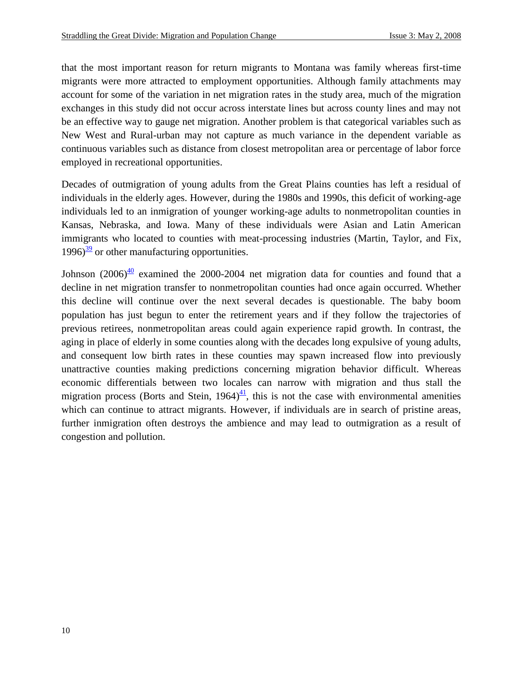that the most important reason for return migrants to Montana was family whereas first-time migrants were more attracted to employment opportunities. Although family attachments may account for some of the variation in net migration rates in the study area, much of the migration exchanges in this study did not occur across interstate lines but across county lines and may not be an effective way to gauge net migration. Another problem is that categorical variables such as New West and Rural-urban may not capture as much variance in the dependent variable as continuous variables such as distance from closest metropolitan area or percentage of labor force employed in recreational opportunities.

Decades of outmigration of young adults from the Great Plains counties has left a residual of individuals in the elderly ages. However, during the 1980s and 1990s, this deficit of working-age individuals led to an inmigration of younger working-age adults to nonmetropolitan counties in Kansas, Nebraska, and Iowa. Many of these individuals were Asian and Latin American immigrants who located to counties with meat-processing industries (Martin, Taylor, and Fix,  $1996)$ <sup>39</sup> or other manufacturing opportunities.

Johnson  $(2006)^{\underline{40}}$  examined the 2000-2004 net migration data for counties and found that a decline in net migration transfer to nonmetropolitan counties had once again occurred. Whether this decline will continue over the next several decades is questionable. The baby boom population has just begun to enter the retirement years and if they follow the trajectories of previous retirees, nonmetropolitan areas could again experience rapid growth. In contrast, the aging in place of elderly in some counties along with the decades long expulsive of young adults, and consequent low birth rates in these counties may spawn increased flow into previously unattractive counties making predictions concerning migration behavior difficult. Whereas economic differentials between two locales can narrow with migration and thus stall the migration process (Borts and Stein,  $1964 \frac{41}{12}$ , this is not the case with environmental amenities which can continue to attract migrants. However, if individuals are in search of pristine areas, further inmigration often destroys the ambience and may lead to outmigration as a result of congestion and pollution.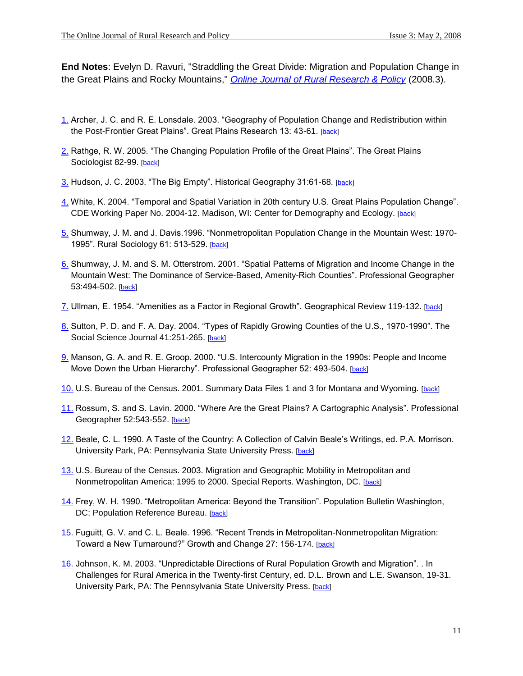**End Notes**: Evelyn D. Ravuri, "Straddling the Great Divide: Migration and Population Change in the Great Plains and Rocky Mountains," *[Online Journal of Rural Research & Policy](http://www.ojrrp.org/)* (2008.3).

- 1. Archer, J. C. and R. E. Lonsdale. 2003. "Geography of Population Change and Redistribution within the Post-Frontier Great Plains". Great Plains Research 13: 43-61. [back]
- 2. Rathge, R. W. 2005. "The Changing Population Profile of the Great Plains". The Great Plains Sociologist 82-99. [back]
- 3. Hudson, J. C. 2003. "The Big Empty". Historical Geography 31:61-68. [back]
- 4. White, K. 2004. "Temporal and Spatial Variation in 20th century U.S. Great Plains Population Change". CDE Working Paper No. 2004-12. Madison, WI: Center for Demography and Ecology. [back]
- 5. Shumway, J. M. and J. Davis.1996. "Nonmetropolitan Population Change in the Mountain West: 1970- 1995". Rural Sociology 61: 513-529. [back]
- 6. Shumway, J. M. and S. M. Otterstrom. 2001. "Spatial Patterns of Migration and Income Change in the Mountain West: The Dominance of Service-Based, Amenity-Rich Counties". Professional Geographer 53:494-502. [back]
- 7. Ullman, E. 1954. "Amenities as a Factor in Regional Growth". Geographical Review 119-132. [back]
- 8. Sutton, P. D. and F. A. Day. 2004. "Types of Rapidly Growing Counties of the U.S., 1970-1990". The Social Science Journal 41:251-265. [back]
- 9. Manson, G. A. and R. E. Groop. 2000. "U.S. Intercounty Migration in the 1990s: People and Income Move Down the Urban Hierarchy". Professional Geographer 52: 493-504. [back]
- 10. U.S. Bureau of the Census. 2001. Summary Data Files 1 and 3 for Montana and Wyoming. [back]
- 11. Rossum, S. and S. Lavin. 2000. "Where Are the Great Plains? A Cartographic Analysis". Professional Geographer 52:543-552. [back]
- 12. Beale, C. L. 1990. A Taste of the Country: A Collection of Calvin Beale's Writings, ed. P.A. Morrison. University Park, PA: Pennsylvania State University Press. [back]
- 13. U.S. Bureau of the Census. 2003. Migration and Geographic Mobility in Metropolitan and Nonmetropolitan America: 1995 to 2000. Special Reports. Washington, DC. [back]
- 14. Frey, W. H. 1990. "Metropolitan America: Beyond the Transition". Population Bulletin Washington, DC: Population Reference Bureau. [back]
- 15. Fuguitt, G. V. and C. L. Beale. 1996. "Recent Trends in Metropolitan-Nonmetropolitan Migration: Toward a New Turnaround?" Growth and Change 27: 156-174. [back]
- 16. Johnson, K. M. 2003. "Unpredictable Directions of Rural Population Growth and Migration". . In Challenges for Rural America in the Twenty-first Century, ed. D.L. Brown and L.E. Swanson, 19-31. University Park, PA: The Pennsylvania State University Press. [back]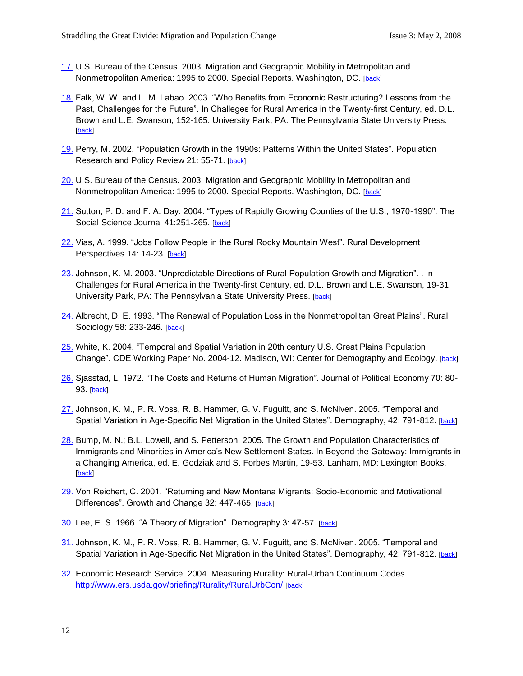- 17. U.S. Bureau of the Census. 2003. Migration and Geographic Mobility in Metropolitan and Nonmetropolitan America: 1995 to 2000. Special Reports. Washington, DC. [back]
- 18. Falk, W. W. and L. M. Labao. 2003. "Who Benefits from Economic Restructuring? Lessons from the Past, Challenges for the Future". In Challeges for Rural America in the Twenty-first Century, ed. D.L. Brown and L.E. Swanson, 152-165. University Park, PA: The Pennsylvania State University Press. [back]
- 19. Perry, M. 2002. "Population Growth in the 1990s: Patterns Within the United States". Population Research and Policy Review 21: 55-71. [back]
- 20. U.S. Bureau of the Census. 2003. Migration and Geographic Mobility in Metropolitan and Nonmetropolitan America: 1995 to 2000. Special Reports. Washington, DC. [back]
- 21. Sutton, P. D. and F. A. Day. 2004. "Types of Rapidly Growing Counties of the U.S., 1970-1990". The Social Science Journal 41:251-265. [back]
- 22. Vias, A. 1999. "Jobs Follow People in the Rural Rocky Mountain West". Rural Development Perspectives 14: 14-23. [back]
- 23. Johnson, K. M. 2003. "Unpredictable Directions of Rural Population Growth and Migration". . In Challenges for Rural America in the Twenty-first Century, ed. D.L. Brown and L.E. Swanson, 19-31. University Park, PA: The Pennsylvania State University Press. [back]
- 24. Albrecht, D. E. 1993. "The Renewal of Population Loss in the Nonmetropolitan Great Plains". Rural Sociology 58: 233-246. [back]
- 25. White, K. 2004. "Temporal and Spatial Variation in 20th century U.S. Great Plains Population Change". CDE Working Paper No. 2004-12. Madison, WI: Center for Demography and Ecology. [back]
- 26. Sjasstad, L. 1972. "The Costs and Returns of Human Migration". Journal of Political Economy 70: 80- 93. [back]
- 27. Johnson, K. M., P. R. Voss, R. B. Hammer, G. V. Fuguitt, and S. McNiven. 2005. "Temporal and Spatial Variation in Age-Specific Net Migration in the United States". Demography, 42: 791-812. [back]
- 28. Bump, M. N.; B.L. Lowell, and S. Petterson. 2005. The Growth and Population Characteristics of Immigrants and Minorities in America's New Settlement States. In Beyond the Gateway: Immigrants in a Changing America, ed. E. Godziak and S. Forbes Martin, 19-53. Lanham, MD: Lexington Books. [back]
- 29. Von Reichert, C. 2001. "Returning and New Montana Migrants: Socio-Economic and Motivational Differences". Growth and Change 32: 447-465. [back]
- 30. Lee, E. S. 1966. "A Theory of Migration". Demography 3: 47-57. [back]
- 31. Johnson, K. M., P. R. Voss, R. B. Hammer, G. V. Fuguitt, and S. McNiven. 2005. "Temporal and Spatial Variation in Age-Specific Net Migration in the United States". Demography, 42: 791-812. [back]
- 32. Economic Research Service. 2004. Measuring Rurality: Rural-Urban Continuum Codes. <http://www.ers.usda.gov/briefing/Rurality/RuralUrbCon/> [back]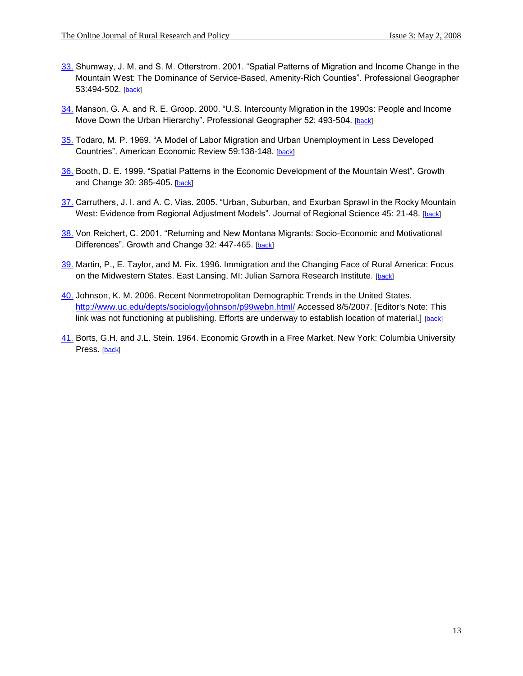- 33. Shumway, J. M. and S. M. Otterstrom. 2001. "Spatial Patterns of Migration and Income Change in the Mountain West: The Dominance of Service-Based, Amenity-Rich Counties". Professional Geographer 53:494-502. [back]
- 34. Manson, G. A. and R. E. Groop. 2000. "U.S. Intercounty Migration in the 1990s: People and Income Move Down the Urban Hierarchy". Professional Geographer 52: 493-504. [back]
- 35. Todaro, M. P. 1969. "A Model of Labor Migration and Urban Unemployment in Less Developed Countries". American Economic Review 59:138-148. [back]
- 36. Booth, D. E. 1999. "Spatial Patterns in the Economic Development of the Mountain West". Growth and Change 30: 385-405. [back]
- 37. Carruthers, J. I. and A. C. Vias. 2005. "Urban, Suburban, and Exurban Sprawl in the Rocky Mountain West: Evidence from Regional Adjustment Models". Journal of Regional Science 45: 21-48. [back]
- 38. Von Reichert, C. 2001. "Returning and New Montana Migrants: Socio-Economic and Motivational Differences". Growth and Change 32: 447-465. [back]
- 39. Martin, P., E. Taylor, and M. Fix. 1996. Immigration and the Changing Face of Rural America: Focus on the Midwestern States. East Lansing, MI: Julian Samora Research Institute. [back]
- 40. Johnson, K. M. 2006. Recent Nonmetropolitan Demographic Trends in the United States. <http://www.uc.edu/depts/sociology/johnson/p99webn.html/> Accessed 8/5/2007. [Editor's Note: This link was not functioning at publishing. Efforts are underway to establish location of material.] [back]
- 41. Borts, G.H. and J.L. Stein. 1964. Economic Growth in a Free Market. New York: Columbia University Press. [back]